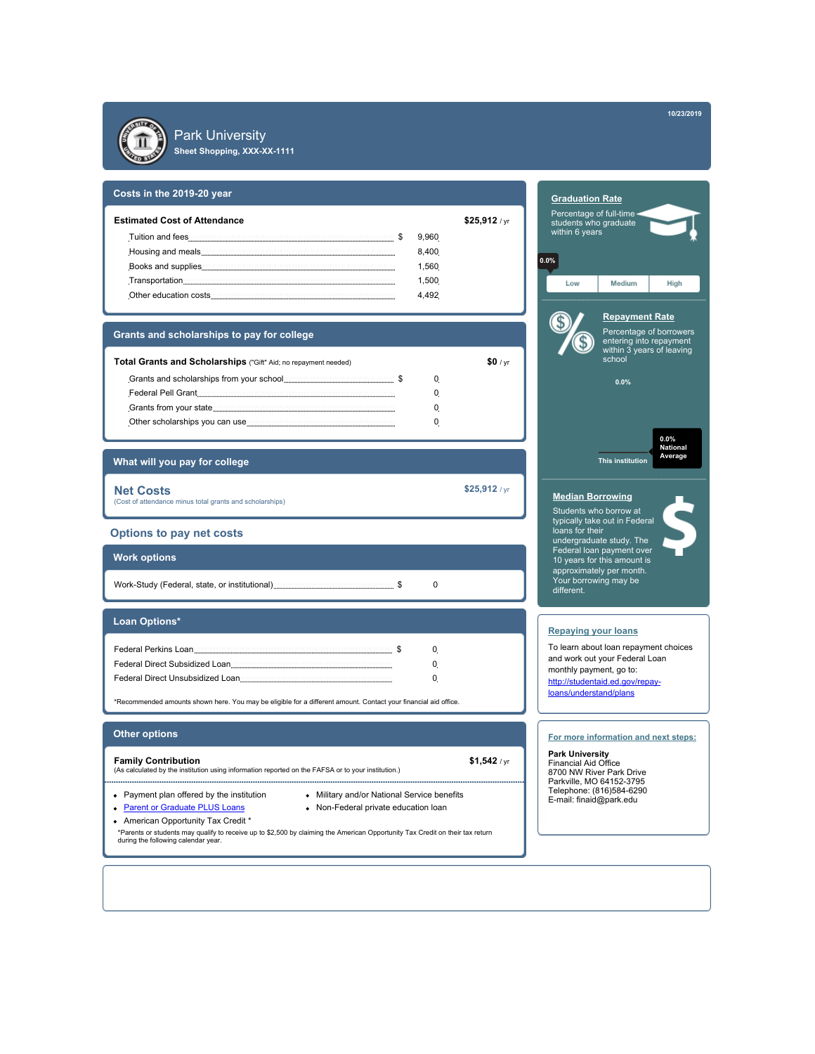

## **Park University Sheet Shopping, XXX-XX-1111**

**Costs in the 2019-20 year**

| <b>Estimated Cost of Attendance</b> |       | \$25,912 / yr |      | Percentage of full-time<br>students who graduate |        |  |
|-------------------------------------|-------|---------------|------|--------------------------------------------------|--------|--|
| Tuition and fees                    | 9.960 |               |      | within 6 years                                   |        |  |
| Housing and meals                   | 8.400 |               |      |                                                  |        |  |
|                                     | 1.560 |               | 0.0% |                                                  |        |  |
| <b>Transportation</b>               | 1.500 |               |      | Low                                              | Medium |  |
| Other education costs               | 4.492 |               |      |                                                  |        |  |
|                                     |       |               |      |                                                  |        |  |

### **Grants and scholarships to pay for college**

| <b>Total Grants and Scholarships</b> ("Gift" Aid; no repayment needed) | \$0/vr |  | within 3 years of leaving<br>school |
|------------------------------------------------------------------------|--------|--|-------------------------------------|
| Grants and scholarships from your school                               |        |  | $0.0\%$                             |
| Federal Pell Grant                                                     |        |  |                                     |
| Grants from your state                                                 |        |  |                                     |
|                                                                        |        |  |                                     |

### **What will you pay for college**

|                                                                              | $$25.912$ /vr |                         |
|------------------------------------------------------------------------------|---------------|-------------------------|
| <b>Net Costs</b><br>(Cost of attendance minus total grants and scholarships) |               | <b>Median Borrowing</b> |
|                                                                              |               | Chidopto who horrow     |

### **Options to pay net costs**

| <b>Work options</b> | Federal loan payment over<br>10 years for this amount is        |
|---------------------|-----------------------------------------------------------------|
|                     | approximately per month.<br>Your borrowing may be<br>different. |

### **Loan Options\***

|                                                                                                                 | <b>INGPAYING YOUI IDAIIS</b>                                                                                                          |
|-----------------------------------------------------------------------------------------------------------------|---------------------------------------------------------------------------------------------------------------------------------------|
| Federal Perkins Loan<br>Federal Direct Subsidized Loan<br>Federal Direct Unsubsidized Loan                      | To learn about loan repayment choices<br>and work out your Federal Loan<br>monthly payment, go to:<br>http://studentaid.ed.gov/repay- |
| *Recommended amounts shown here. You may be eligible for a different amount. Contact your financial aid office. | loans/understand/plans                                                                                                                |

### **Other options**

| <b>Family Contribution</b><br>(As calculated by the institution using information reported on the FAFSA or to your institution.)                                | $$1.542$ / vr | <b>Park University</b><br>Financial Aid Office<br>8700 NW River Park Drive<br>Parkville, MO 64152-3795 |  |
|-----------------------------------------------------------------------------------------------------------------------------------------------------------------|---------------|--------------------------------------------------------------------------------------------------------|--|
| Military and/or National Service benefits<br>• Payment plan offered by the institution<br>• Parent or Graduate PLUS Loans<br>Non-Federal private education loan |               | Telephone: (816)584-6290<br>E-mail: finaid@park.edu                                                    |  |
| • American Opportunity Tax Credit *                                                                                                                             |               |                                                                                                        |  |

\*Parents or students may qualify to receive up to \$2,500 by claiming the American Opportunity Tax Credit on their tax return<br>during the following calendar year.

|         | within 6 years          | Percentage of full-time -<br>students who graduate                                                                         |                                    |
|---------|-------------------------|----------------------------------------------------------------------------------------------------------------------------|------------------------------------|
| $0.0\%$ |                         |                                                                                                                            |                                    |
|         | Low                     | Medium                                                                                                                     | High                               |
|         |                         | <b>Repayment Rate</b><br>Percentage of borrowers<br>entering into repayment<br>within 3 years of leaving<br>school<br>0.0% |                                    |
|         |                         | <b>This institution</b>                                                                                                    | 0.0%<br><b>National</b><br>Average |
|         | <b>Median Borrowing</b> | Students who borrow at                                                                                                     |                                    |

**Graduation Rate**

Students who borrow at<br>typically take out in Federal<br>loans for their undergraduate study. The<br>Federal loan payment over<br>10 years for this amount is<br>approximately per month.<br>Your borrowing may be different.

### **Repaying your loans**

### **For more information and next steps:**

# 8700 NW River Park Drive Parkville, MO 64152-3795 Telephone: (816)584-6290 E-mail: finaid@park.edu

**10/23/2019**